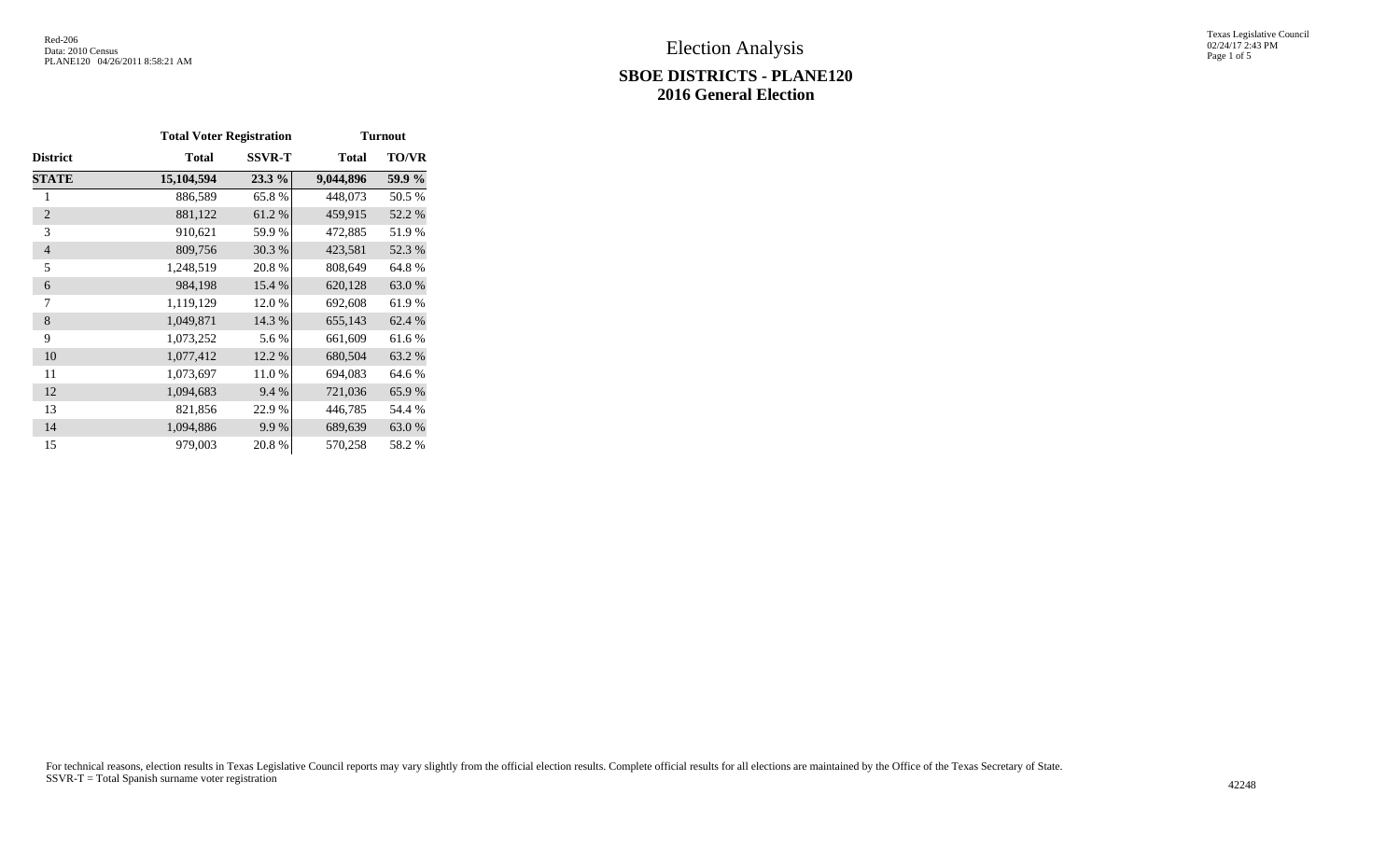### **SBOE DISTRICTS - PLANE120 2016 General Election**

Texas Legislative Council 02/24/17 2:43 PM Page 1 of 5

|                 | <b>Total Voter Registration</b> |               | <b>Turnout</b> |              |  |  |  |
|-----------------|---------------------------------|---------------|----------------|--------------|--|--|--|
| <b>District</b> | <b>Total</b>                    | <b>SSVR-T</b> | <b>Total</b>   | <b>TO/VR</b> |  |  |  |
| <b>STATE</b>    | 15,104,594                      | 23.3 %        | 9,044,896      | 59.9 %       |  |  |  |
| 1               | 886,589                         | 65.8%         | 448,073        | 50.5 %       |  |  |  |
| $\overline{2}$  | 881,122                         | 61.2%         | 459,915        | 52.2 %       |  |  |  |
| 3               | 910,621                         | 59.9%         | 472,885        | 51.9%        |  |  |  |
| $\overline{4}$  | 809,756                         | 30.3%         | 423,581        | 52.3 %       |  |  |  |
| 5               | 1,248,519                       | 20.8%         | 808,649        | 64.8%        |  |  |  |
| 6               | 984,198                         | 15.4 %        | 620,128        | 63.0%        |  |  |  |
| 7               | 1,119,129                       | 12.0%         | 692,608        | 61.9%        |  |  |  |
| 8               | 1,049,871                       | 14.3 %        | 655,143        | 62.4 %       |  |  |  |
| 9               | 1,073,252                       | 5.6 %         | 661,609        | 61.6%        |  |  |  |
| 10              | 1,077,412                       | 12.2 %        | 680,504        | 63.2 %       |  |  |  |
| 11              | 1,073,697                       | 11.0%         | 694,083        | 64.6 %       |  |  |  |
| 12              | 1,094,683                       | 9.4 %         | 721,036        | 65.9%        |  |  |  |
| 13              | 821,856                         | 22.9 %        | 446,785        | 54.4 %       |  |  |  |
| 14              | 1,094,886                       | 9.9%          | 689,639        | 63.0%        |  |  |  |
| 15              | 979,003                         | 20.8%         | 570,258        | 58.2 %       |  |  |  |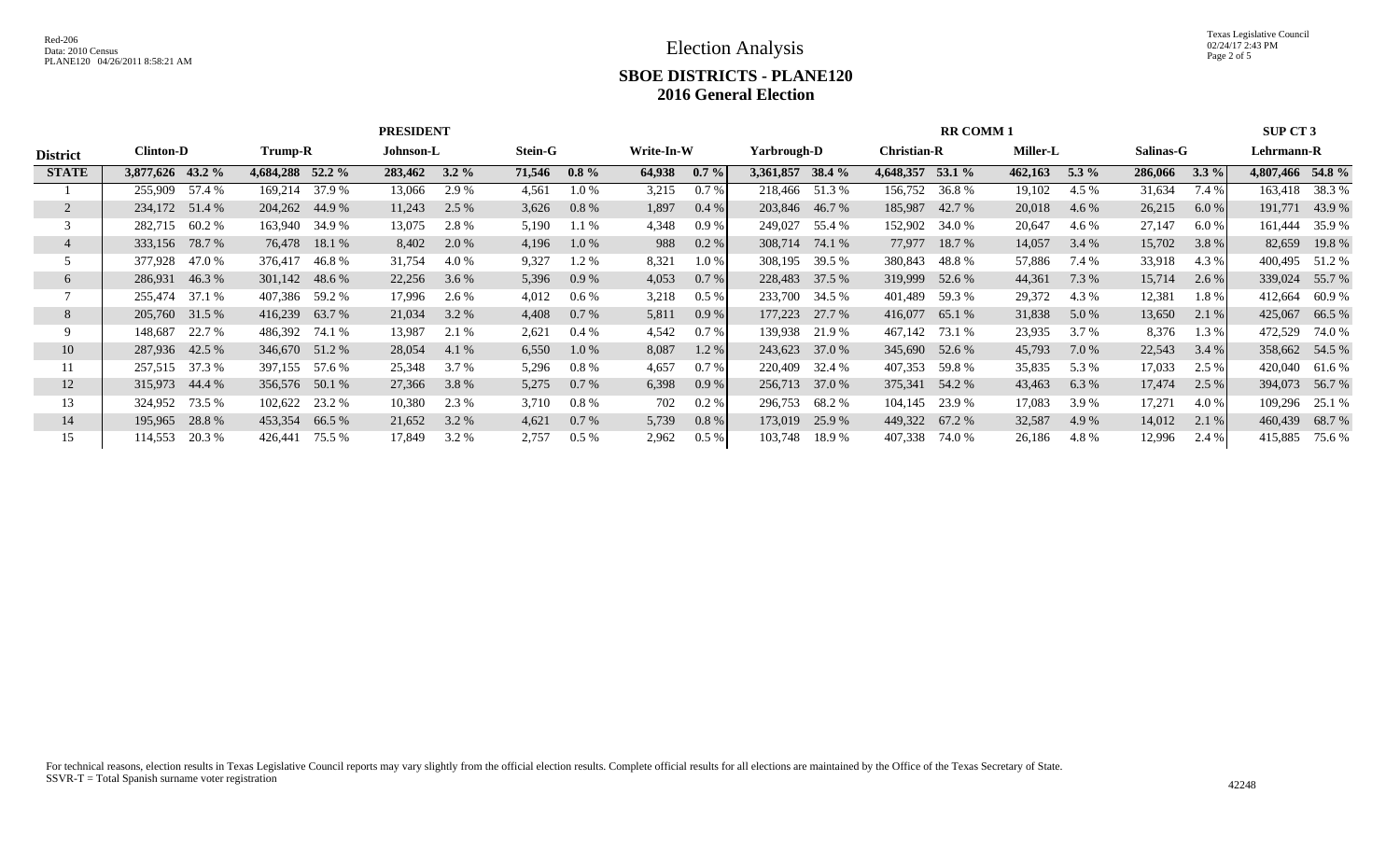# **SBOE DISTRICTS - PLANE120 2016 General Election**

|                 |                   |                   | <b>PRESIDENT</b>   |                    |                    |                    | <b>RR COMM1</b>    |                     |                    | <b>SUP CT 3</b>   |
|-----------------|-------------------|-------------------|--------------------|--------------------|--------------------|--------------------|--------------------|---------------------|--------------------|-------------------|
| <b>District</b> | <b>Clinton-D</b>  | Trump-R           | Johnson-L          | Stein-G            | Write-In-W         | Yarbrough-D        | <b>Christian-R</b> | <b>Miller-L</b>     | Salinas-G          | Lehrmann-R        |
| <b>STATE</b>    | 3,877,626 43.2 %  | 4,684,288 52.2 %  | 283,462<br>$3.2\%$ | 71,546<br>$0.8 \%$ | 64,938<br>$0.7 \%$ | 3,361,857<br>38.4% | 4,648,357 53.1 %   | 462,163<br>5.3 $\%$ | 286,066<br>$3.3\%$ | 4,807,466 54.8 %  |
|                 | 57.4 %<br>255,909 | 37.9 %<br>169,214 | 13,066<br>2.9 %    | 4,561<br>1.0 %     | 0.7%<br>3,215      | 218,466 51.3 %     | 156,752<br>36.8%   | 19,102<br>4.5 %     | 31,634<br>7.4 %    | 38.3 %<br>163,418 |
| 2               | 234,172 51.4 %    | 204,262 44.9 %    | 2.5 %<br>11,243    | 3,626<br>$0.8\%$   | 1,897<br>$0.4\%$   | 203,846 46.7 %     | 185,987 42.7 %     | 20,018<br>4.6 %     | 26,215<br>6.0%     | 191,771 43.9 %    |
|                 | 60.2 %<br>282,715 | 163,940 34.9 %    | 2.8%<br>13,075     | 5,190<br>1.1 %     | 4,348<br>0.9%      | 249,027<br>55.4 %  | 152,902<br>34.0 %  | 20,647<br>4.6 %     | 27,147<br>6.0 %    | 161,444<br>35.9%  |
|                 | 78.7 %<br>333,156 | 76,478<br>18.1 %  | 8,402<br>2.0 %     | 4,196<br>$1.0\%$   | 0.2 %<br>988       | 308,714<br>74.1 %  | 77,977<br>18.7 %   | 14,057<br>3.4 %     | 15,702<br>3.8 %    | 82,659<br>19.8%   |
|                 | 377,928<br>47.0 % | 376,417<br>46.8 % | 31,754<br>4.0 %    | 9,327<br>1.2 %     | 8,321<br>1.0%      | 308,195<br>39.5 %  | 380,843<br>48.8 %  | 57,886<br>7.4 %     | 33,918<br>4.3 %    | 400,495 51.2 %    |
| 6               | 286,931<br>46.3%  | 301,142 48.6 %    | 22,256<br>$3.6\%$  | 5,396<br>$0.9\%$   | 4,053<br>$0.7\%$   | 228,483<br>37.5 %  | 319,999 52.6 %     | 44,361<br>7.3 %     | 15,714<br>2.6 %    | 339,024 55.7 %    |
|                 | 255,474 37.1 %    | 407,386 59.2 %    | 17,996<br>2.6 %    | 4,012<br>$0.6\%$   | 3,218<br>$0.5\%$   | 233,700 34.5 %     | 401,489<br>59.3 %  | 29,372<br>4.3 %     | 12,381<br>1.8%     | 412,664<br>60.9 % |
| 8               | 205,760 31.5 %    | 416,239<br>63.7 % | 3.2 %<br>21,034    | 4,408<br>0.7%      | 5,811<br>0.9%      | 177,223<br>27.7 %  | 416,077<br>65.1 %  | 31,838<br>5.0 %     | 13,650<br>2.1%     | 425,067<br>66.5 % |
|                 | 22.7 %<br>148,687 | 486,392 74.1 %    | 13,987<br>2.1 %    | 2,621<br>$0.4\%$   | 4,542<br>$0.7\%$   | 139,938<br>21.9 %  | 467,142 73.1 %     | 23,935<br>3.7 %     | 8,376<br>1.3 %     | 472,529<br>74.0 % |
| 10              | 287,936 42.5 %    | 346,670 51.2 %    | 28,054<br>4.1 %    | 6,550<br>$1.0\%$   | 8,087<br>$1.2\%$   | 243,623<br>37.0 %  | 345,690 52.6 %     | 45,793<br>7.0 %     | 22,543<br>3.4%     | 358,662 54.5 %    |
| 11              | 257,515 37.3 %    | 397,155 57.6 %    | 25,348<br>3.7 %    | 5,296<br>$0.8\%$   | 4,657<br>$0.7\%$   | 220,409<br>32.4 %  | 407,353 59.8 %     | 35,835<br>5.3 %     | 17,033<br>2.5 %    | 420,040<br>61.6 % |
| 12              | 315,973 44.4 %    | 356,576 50.1 %    | 27,366<br>3.8%     | 5,275<br>0.7%      | 6,398<br>0.9%      | 256,713<br>37.0 %  | 375,341 54.2 %     | 43,463<br>6.3 %     | 17,474<br>2.5 %    | 394,073 56.7 %    |
| 13              | 324,952<br>73.5 % | 102,622 23.2 %    | 10,380<br>2.3 %    | 3,710<br>$0.8\%$   | 702<br>0.2%        | 296,753<br>68.2 %  | 104,145 23.9 %     | 17,083<br>3.9 %     | 17,271<br>4.0 %    | 109,296<br>25.1 % |
| 14              | 28.8%<br>195,965  | 453,354<br>66.5 % | 3.2 %<br>21,652    | 4,621<br>$0.7\%$   | 5,739<br>$0.8\%$   | 173,019<br>25.9 %  | 449,322<br>67.2 %  | 32,587<br>4.9 %     | 14,012<br>2.1 %    | 460,439<br>68.7 % |
| 15              | 20.3 %<br>114,553 | 75.5 %<br>426,441 | 3.2 %<br>17,849    | 2,757<br>$0.5\%$   | $0.5\%$<br>2,962   | 103,748<br>18.9 %  | 407,338<br>74.0 %  | 26,186<br>4.8%      | 12,996<br>2.4 %    | 415,885<br>75.6 % |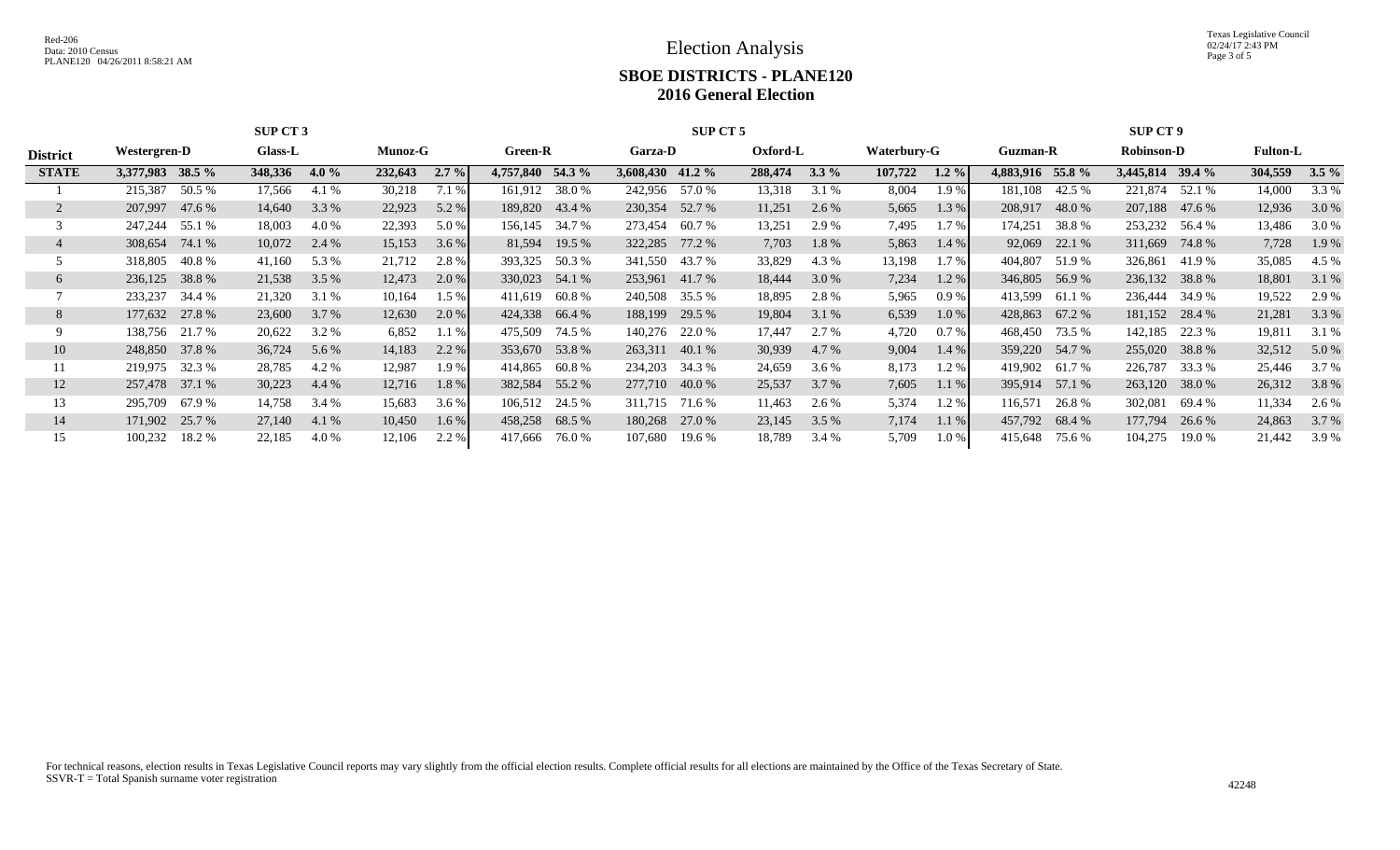Texas Legislative Council 02/24/17 2:43 PM Page 3 of 5

## **SBOE DISTRICTS - PLANE120 2016 General Election**

|                 |                   | SUP CT 3           |                    |                   | SUP CT 5          |                    | <b>SUP CT 9</b>     |                   |                   |                    |  |
|-----------------|-------------------|--------------------|--------------------|-------------------|-------------------|--------------------|---------------------|-------------------|-------------------|--------------------|--|
| <b>District</b> | Westergren-D      | <b>Glass-L</b>     | <b>Munoz-G</b>     | Green-R           | Garza-D           | Oxford-L           | Waterbury-G         | Guzman-R          | <b>Robinson-D</b> | <b>Fulton-L</b>    |  |
| <b>STATE</b>    | 3,377,983 38.5 %  | 348,336<br>4.0 $%$ | 232,643<br>$2.7\%$ | 4,757,840 54.3 %  | 3,608,430 41.2 %  | 288,474<br>$3.3\%$ | 107,722<br>$1.2 \%$ | 4,883,916 55.8 %  | 3,445,814 39.4 %  | 304,559<br>$3.5\%$ |  |
|                 | 50.5 %<br>215,387 | 17,566<br>4.1 %    | 30,218<br>7.1 %    | 161,912 38.0 %    | 242,956 57.0 %    | 13,318<br>3.1 %    | 8,004<br>1.9 %      | 42.5 %<br>181,108 | 221,874<br>52.1 % | 3.3 %<br>14,000    |  |
|                 | 47.6 %<br>207,997 | 3.3 %<br>14,640    | 22,923<br>5.2 %    | 189,820<br>43.4 % | 230,354<br>52.7 % | 11,251<br>2.6 %    | 5,665<br>1.3%       | 208,917<br>48.0%  | 207,188<br>47.6 % | 12,936<br>3.0 %    |  |
|                 | 247,244<br>55.1 % | 18,003<br>4.0 %    | 22,393<br>5.0 %    | 156,145<br>34.7 % | 273,454<br>60.7 % | 13,251<br>2.9 %    | 7,495<br>1.7%       | 174,251<br>38.8 % | 253,232 56.4 %    | 13,486<br>3.0 %    |  |
|                 | 308,654<br>74.1 % | 10,072<br>2.4 %    | 15,153<br>3.6 %    | 81,594<br>19.5 %  | 322,285<br>77.2 % | 7,703<br>1.8%      | 5,863<br>1.4 %      | 22.1 %<br>92,069  | 311,669<br>74.8%  | 7,728<br>1.9 %     |  |
|                 | 318,805<br>40.8 % | 41,160<br>5.3 %    | 21,712<br>2.8%     | 393,325<br>50.3 % | 341,550<br>43.7 % | 33,829<br>4.3 %    | 13,198<br>1.7%      | 404,807<br>51.9%  | 326,861<br>41.9 % | 35,085<br>4.5 %    |  |
| O               | 236,125<br>38.8%  | 21,538<br>3.5 %    | 12,473<br>2.0 %    | 330,023 54.1 %    | 253,961<br>41.7 % | 18,444<br>3.0 %    | 7,234<br>1.2%       | 346,805<br>56.9%  | 236,132 38.8 %    | 18,801<br>3.1 %    |  |
|                 | 233,237<br>34.4 % | 21,320<br>3.1 %    | 10,164<br>$1.5\%$  | 411,619<br>60.8 % | 240,508<br>35.5 % | 18,895<br>2.8%     | 5,965<br>$0.9\%$    | 413,599<br>61.1 % | 236,444<br>34.9 % | 19,522<br>2.9 %    |  |
| 8               | 177,632 27.8 %    | 23,600<br>3.7 %    | 12,630<br>2.0 %    | 424,338 66.4 %    | 188,199<br>29.5 % | 19,804<br>3.1%     | 6,539<br>1.0%       | 67.2 %<br>428,863 | 181,152<br>28.4 % | 21,281<br>3.3 %    |  |
|                 | 138,756 21.7 %    | 20,622<br>3.2 %    | 6,852<br>1.1 %     | 475,509<br>74.5 % | 140,276<br>22.0 % | 17,447<br>2.7 %    | 4,720<br>$0.7\%$    | 73.5 %<br>468,450 | 142,185<br>22.3 % | 19,811<br>3.1 %    |  |
| 10              | 248,850 37.8 %    | 36,724<br>5.6 %    | 14,183<br>2.2 %    | 353,670 53.8 %    | 263,311 40.1 %    | 30,939<br>4.7 %    | 9,004<br>1.4 %      | 359,220<br>54.7 % | 255,020<br>38.8%  | 32,512<br>5.0 %    |  |
| 11              | 219,975 32.3 %    | 28,785<br>4.2 %    | 12,987<br>1.9%     | 414,865<br>60.8 % | 234,203<br>34.3 % | 24,659<br>3.6 %    | 8,173<br>1.2 %      | 419,902<br>61.7 % | 226,787<br>33.3 % | 3.7 %<br>25,446    |  |
| 12              | 257,478 37.1 %    | 30,223<br>4.4 %    | 12,716<br>1.8%     | 382,584 55.2 %    | 277,710 40.0 %    | 25,537<br>3.7%     | 7,605<br>1.1%       | 395,914<br>57.1 % | 263,120<br>38.0 % | 26,312<br>3.8 %    |  |
| 13              | 295,709<br>67.9 % | 14,758<br>3.4 %    | 15,683<br>3.6 %    | 106,512 24.5 %    | 311,715<br>71.6 % | 11,463<br>2.6 %    | 5,374<br>1.2%       | 116,571<br>26.8%  | 302,081<br>69.4 % | 11,334<br>2.6 %    |  |
| 14              | 171,902 25.7 %    | 27,140<br>4.1 %    | 10,450<br>$1.6\%$  | 458,258<br>68.5 % | 180,268<br>27.0 % | 23,145<br>3.5 %    | 7,174<br>$1.1\%$    | 457,792<br>68.4 % | 177,794<br>26.6 % | 24,863<br>3.7 %    |  |
| 15              | 100,232<br>18.2 % | 4.0 %<br>22,185    | 2.2 %<br>12,106    | 417,666<br>76.0 % | 107,680<br>19.6 % | 18,789<br>3.4 %    | 5,709<br>1.0%       | 415,648<br>75.6 % | 104,275<br>19.0 % | 21,442<br>3.9 %    |  |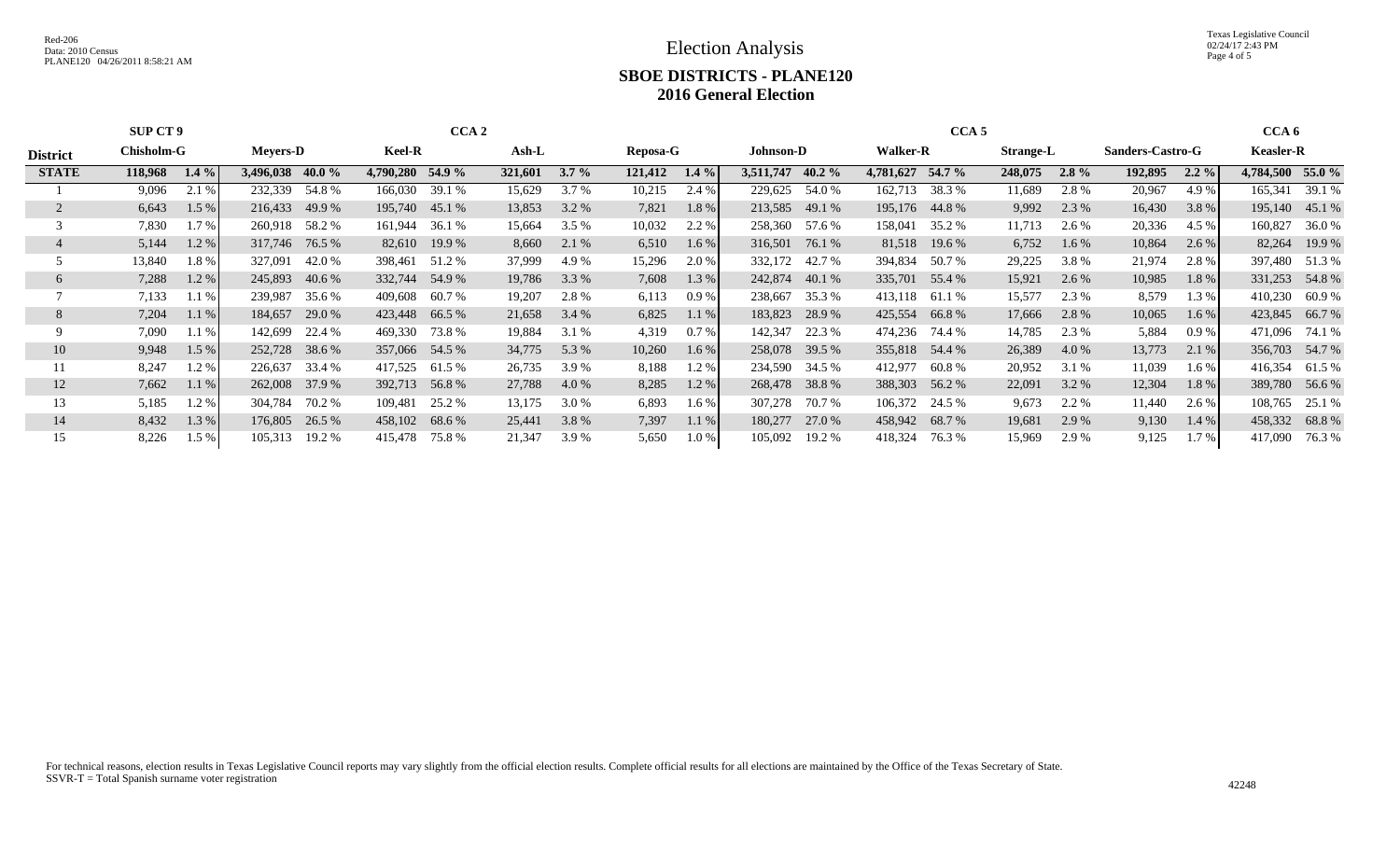Texas Legislative Council 02/24/17 2:43 PM Page 4 of 5

## **SBOE DISTRICTS - PLANE120 2016 General Election**

|                 | <b>SUP CT 9</b> |         |                  |        |                  | CCA <sub>2</sub> |         |         |          |         |                  |           |                  | CCA <sub>5</sub> |                  |         |                  |         | CCA <sub>6</sub> |        |
|-----------------|-----------------|---------|------------------|--------|------------------|------------------|---------|---------|----------|---------|------------------|-----------|------------------|------------------|------------------|---------|------------------|---------|------------------|--------|
| <b>District</b> | Chisholm-G      |         | <b>Mevers-D</b>  |        | <b>Keel-R</b>    |                  | $Ash-L$ |         | Reposa-G |         | <b>Johnson-D</b> |           | <b>Walker-R</b>  |                  | <b>Strange-L</b> |         | Sanders-Castro-G |         | <b>Keasler-R</b> |        |
| <b>STATE</b>    | 118,968         | $1.4\%$ | 3,496,038 40.0 % |        | 4,790,280 54.9 % |                  | 321,601 | $3.7\%$ | 121,412  | $1.4\%$ | 3,511,747        | 40.2 $\%$ | 4,781,627 54.7 % |                  | 248,075          | $2.8\%$ | 192,895          | $2.2\%$ | 4,784,500 55.0 % |        |
|                 | 9,096           | 2.1 %   | 232,339          | 54.8%  | 166,030          | 39.1 %           | 15,629  | 3.7 %   | 10,215   | 2.4 %   | 229,625          | 54.0 %    | 162,713          | 38.3 %           | 11,689           | 2.8 %   | 20,967           | 4.9 %   | 165,341          | 39.1 % |
|                 | 6,643           | 1.5%    | 216,433          | 49.9 % | 195,740          | 45.1 %           | 13,853  | 3.2 %   | 7,821    | 1.8%    | 213,585          | 49.1 %    |                  | 195,176 44.8 %   | 9,992            | 2.3 %   | 16,430           | 3.8%    | 195,140          | 45.1 % |
|                 | 7,830           | 1.7%    | 260,918          | 58.2 % | 161,944          | 36.1 %           | 15,664  | 3.5%    | 10,032   | 2.2 %   | 258,360          | 57.6 %    | 158,041          | 35.2 %           | 11,713           | 2.6 %   | 20,336           | 4.5 %   | 160,827          | 36.0%  |
|                 | 5,144           | 1.2%    | 317,746 76.5 %   |        |                  | 82,610 19.9 %    | 8,660   | 2.1 %   | 6,510    | $1.6\%$ | 316,501          | 76.1 %    | 81,518           | 19.6 %           | 6,752            | $1.6\%$ | 10,864           | $2.6\%$ | 82,264           | 19.9 % |
|                 | 13,840          | 1.8%    | 327,091          | 42.0 % | 398,461          | 51.2 %           | 37,999  | 4.9 %   | 15,296   | 2.0 %   | 332,172          | 42.7 %    | 394,834          | 50.7 %           | 29,225           | 3.8 %   | 21,974           | 2.8%    | 397,480          | 51.3%  |
| $\sigma$        | 7,288           | 1.2%    | 245,893          | 40.6 % | 332,744          | 54.9 %           | 19,786  | 3.3 %   | 7,608    | 1.3 %   | 242,874          | 40.1 %    | 335,701          | 55.4 %           | 15,921           | 2.6 %   | 10,985           | 1.8%    | 331,253          | 54.8%  |
|                 | 7,133           | 1.1%    | 239,987          | 35.6 % | 409,608          | 60.7 %           | 19,207  | 2.8%    | 6,113    | 0.9%    | 238,667          | 35.3 %    | 413,118          | 61.1 %           | 15,577           | 2.3 %   | 8,579            | 1.3 %   | 410,230          | 60.9 % |
| 8               | 7,204           | 1.1%    | 184,657          | 29.0 % | 423,448          | 66.5 %           | 21,658  | 3.4%    | 6,825    | 1.1%    | 183,823          | 28.9 %    |                  | 425,554 66.8%    | 17,666           | 2.8%    | 10,065           | $1.6\%$ | 423,845 66.7 %   |        |
| 9               | 7,090           | 1.1%    | 142,699          | 22.4 % | 469,330          | 73.8 %           | 19,884  | 3.1 %   | 4,319    | $0.7\%$ | 142,347          | 22.3 %    | 474,236          | 74.4 %           | 14,785           | 2.3 %   | 5,884            | 0.9%    | 471,096          | 74.1 % |
| 10              | 9,948           | $1.5\%$ | 252,728          | 38.6 % | 357,066 54.5 %   |                  | 34,775  | 5.3 %   | 10,260   | 1.6%    | 258,078          | 39.5 %    |                  | 355,818 54.4 %   | 26,389           | 4.0 %   | 13,773           | 2.1 %   | 356,703          | 54.7 % |
|                 | 8,247           | 1.2 %   | 226,637          | 33.4 % | 417,525          | 61.5 %           | 26,735  | 3.9%    | 8,188    | 1.2%    | 234,590          | 34.5 %    | 412,977          | 60.8 %           | 20,952           | 3.1 %   | 11,039           | 1.6 %   | 416,354          | 61.5 % |
| 12              | 7,662           | 1.1%    | 262,008          | 37.9 % | 392,713          | 56.8%            | 27,788  | 4.0 %   | 8,285    | 1.2%    | 268,478          | 38.8%     | 388,303          | 56.2 %           | 22,091           | 3.2 %   | 12,304           | 1.8%    | 389,780          | 56.6 % |
| 13              | 5,185           | 1.2 %   | 304,784          | 70.2 % | 109,481          | 25.2 %           | 13,175  | 3.0 %   | 6,893    | 1.6%    | 307,278          | 70.7 %    | 106,372          | 24.5 %           | 9,673            | 2.2 %   | 11,440           | 2.6 %   | 108,765          | 25.1 % |
| 14              | 8,432           | 1.3 %   | 176,805          | 26.5 % | 458,102 68.6 %   |                  | 25,441  | 3.8%    | 7,397    | 1.1%    | 180,277          | 27.0 %    | 458,942          | 68.7 %           | 19,681           | 2.9 %   | 9,130            | $1.4\%$ | 458,332          | 68.8%  |
| 15              | 8,226           | 1.5 %   | 105,313          | 19.2 % | 415.478          | 75.8 %           | 21,347  | 3.9 %   | 5,650    | 1.0%    | 105,092          | 19.2 %    | 418,324          | 76.3 %           | 15,969           | 2.9 %   | 9,125            | $1.7\%$ | 417,090          | 76.3 % |